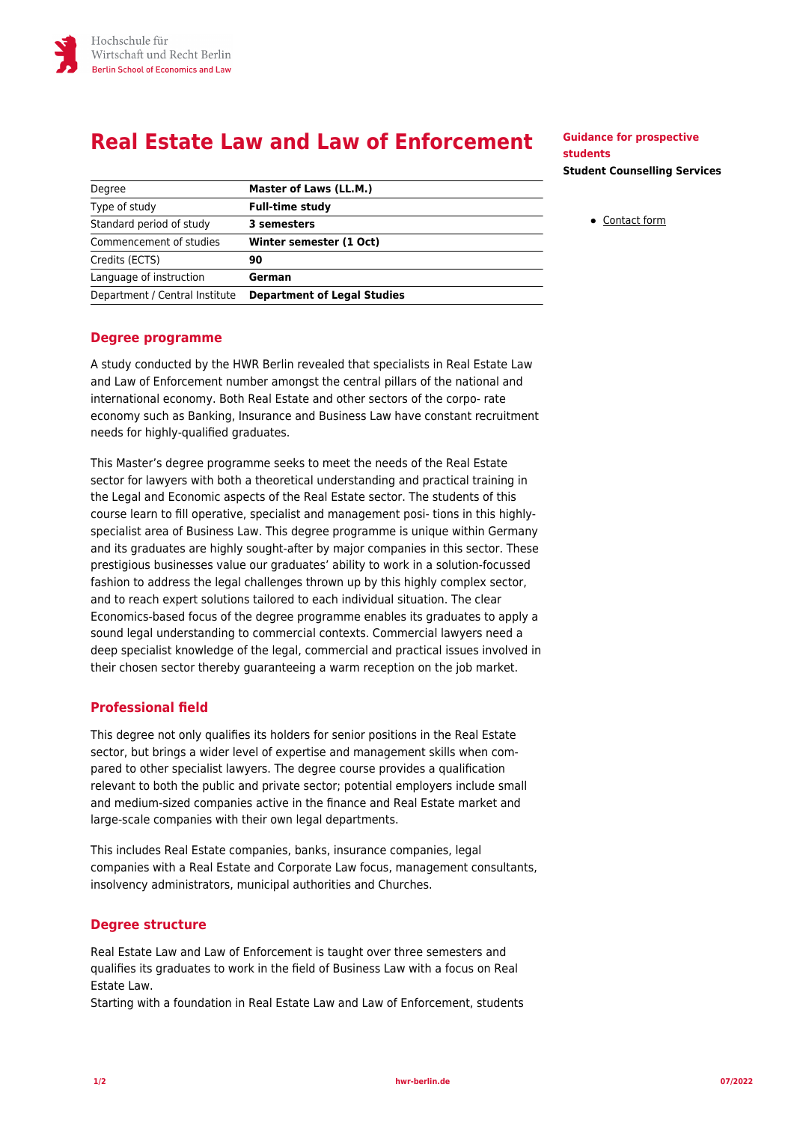# **Real Estate Law and Law of Enforcement**

| Degree                         | Master of Laws (LL.M.)             |
|--------------------------------|------------------------------------|
| Type of study                  | <b>Full-time study</b>             |
| Standard period of study       | 3 semesters                        |
| Commencement of studies        | Winter semester (1 Oct)            |
| Credits (ECTS)                 | 90                                 |
| Language of instruction        | German                             |
| Department / Central Institute | <b>Department of Legal Studies</b> |

## **Guidance for prospective students Student Counselling Services**

[Contact form](https://www.hwr-berlin.de/en/study/degree-programmes/faq-studies/student-counselling-services-contact-form/)

# **Degree programme**

A study conducted by the HWR Berlin revealed that specialists in Real Estate Law and Law of Enforcement number amongst the central pillars of the national and international economy. Both Real Estate and other sectors of the corpo- rate economy such as Banking, Insurance and Business Law have constant recruitment needs for highly-qualified graduates.

This Master's degree programme seeks to meet the needs of the Real Estate sector for lawyers with both a theoretical understanding and practical training in the Legal and Economic aspects of the Real Estate sector. The students of this course learn to fill operative, specialist and management posi- tions in this highlyspecialist area of Business Law. This degree programme is unique within Germany and its graduates are highly sought-after by major companies in this sector. These prestigious businesses value our graduates' ability to work in a solution-focussed fashion to address the legal challenges thrown up by this highly complex sector, and to reach expert solutions tailored to each individual situation. The clear Economics-based focus of the degree programme enables its graduates to apply a sound legal understanding to commercial contexts. Commercial lawyers need a deep specialist knowledge of the legal, commercial and practical issues involved in their chosen sector thereby guaranteeing a warm reception on the job market.

# **Professional field**

This degree not only qualifies its holders for senior positions in the Real Estate sector, but brings a wider level of expertise and management skills when compared to other specialist lawyers. The degree course provides a qualification relevant to both the public and private sector; potential employers include small and medium-sized companies active in the finance and Real Estate market and large-scale companies with their own legal departments.

This includes Real Estate companies, banks, insurance companies, legal companies with a Real Estate and Corporate Law focus, management consultants, insolvency administrators, municipal authorities and Churches.

# **Degree structure**

Real Estate Law and Law of Enforcement is taught over three semesters and qualifies its graduates to work in the field of Business Law with a focus on Real Estate Law.

Starting with a foundation in Real Estate Law and Law of Enforcement, students